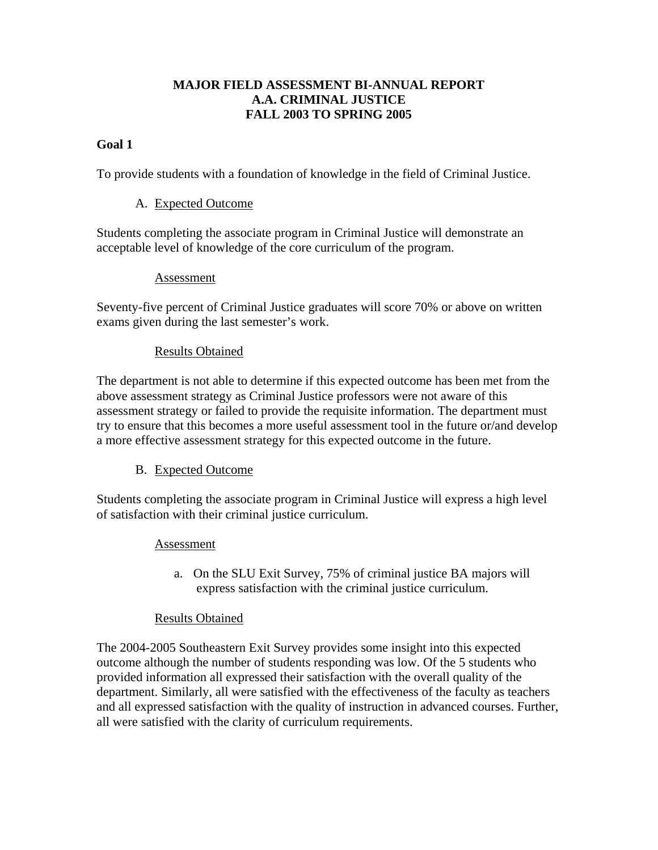# **MAJOR FIELD ASSESSMENT BI-ANNUAL REPORT A.A. CRIMINAL JUSTICE FALL 2003 TO SPRING 2005**

### **Goal 1**

To provide students with a foundation of knowledge in the field of Criminal Justice.

#### A. Expected Outcome

Students completing the associate program in Criminal Justice will demonstrate an acceptable level of knowledge of the core curriculum of the program.

#### Assessment

Seventy-five percent of Criminal Justice graduates will score 70% or above on written exams given during the last semester's work.

#### Results Obtained

The department is not able to determine if this expected outcome has been met from the above assessment strategy as Criminal Justice professors were not aware of this assessment strategy or failed to provide the requisite information. The department must try to ensure that this becomes a more useful assessment tool in the future or/and develop a more effective assessment strategy for this expected outcome in the future.

#### B. Expected Outcome

Students completing the associate program in Criminal Justice will express a high level of satisfaction with their criminal justice curriculum.

#### Assessment

a. On the SLU Exit Survey, 75% of criminal justice BA majors will express satisfaction with the criminal justice curriculum.

#### Results Obtained

The 2004-2005 Southeastern Exit Survey provides some insight into this expected outcome although the number of students responding was low. Of the 5 students who provided information all expressed their satisfaction with the overall quality of the department. Similarly, all were satisfied with the effectiveness of the faculty as teachers and all expressed satisfaction with the quality of instruction in advanced courses. Further, all were satisfied with the clarity of curriculum requirements.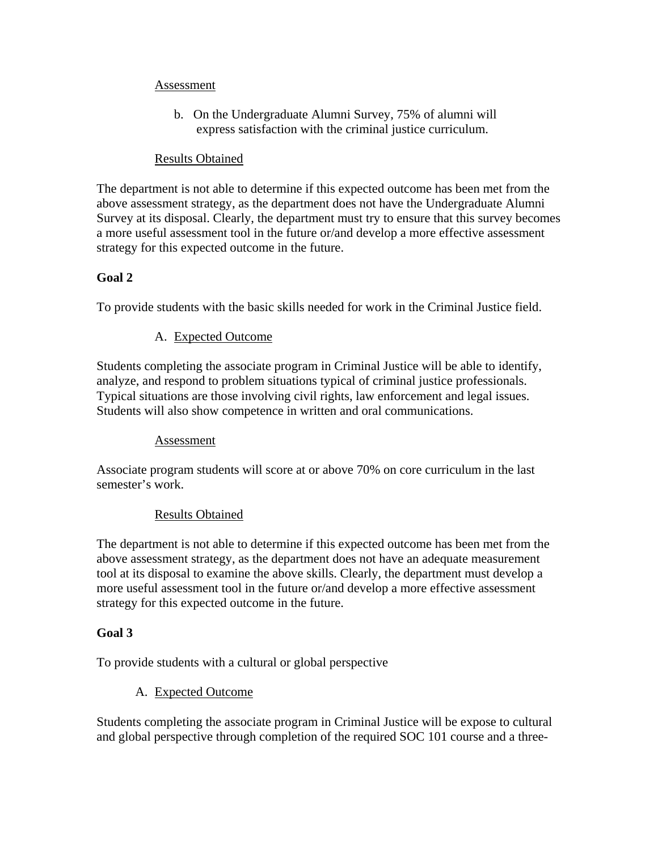#### Assessment

b. On the Undergraduate Alumni Survey, 75% of alumni will express satisfaction with the criminal justice curriculum.

### Results Obtained

The department is not able to determine if this expected outcome has been met from the above assessment strategy, as the department does not have the Undergraduate Alumni Survey at its disposal. Clearly, the department must try to ensure that this survey becomes a more useful assessment tool in the future or/and develop a more effective assessment strategy for this expected outcome in the future.

# **Goal 2**

To provide students with the basic skills needed for work in the Criminal Justice field.

# A. Expected Outcome

Students completing the associate program in Criminal Justice will be able to identify, analyze, and respond to problem situations typical of criminal justice professionals. Typical situations are those involving civil rights, law enforcement and legal issues. Students will also show competence in written and oral communications.

# Assessment

Associate program students will score at or above 70% on core curriculum in the last semester's work.

# Results Obtained

The department is not able to determine if this expected outcome has been met from the above assessment strategy, as the department does not have an adequate measurement tool at its disposal to examine the above skills. Clearly, the department must develop a more useful assessment tool in the future or/and develop a more effective assessment strategy for this expected outcome in the future.

# **Goal 3**

To provide students with a cultural or global perspective

# A. Expected Outcome

Students completing the associate program in Criminal Justice will be expose to cultural and global perspective through completion of the required SOC 101 course and a three